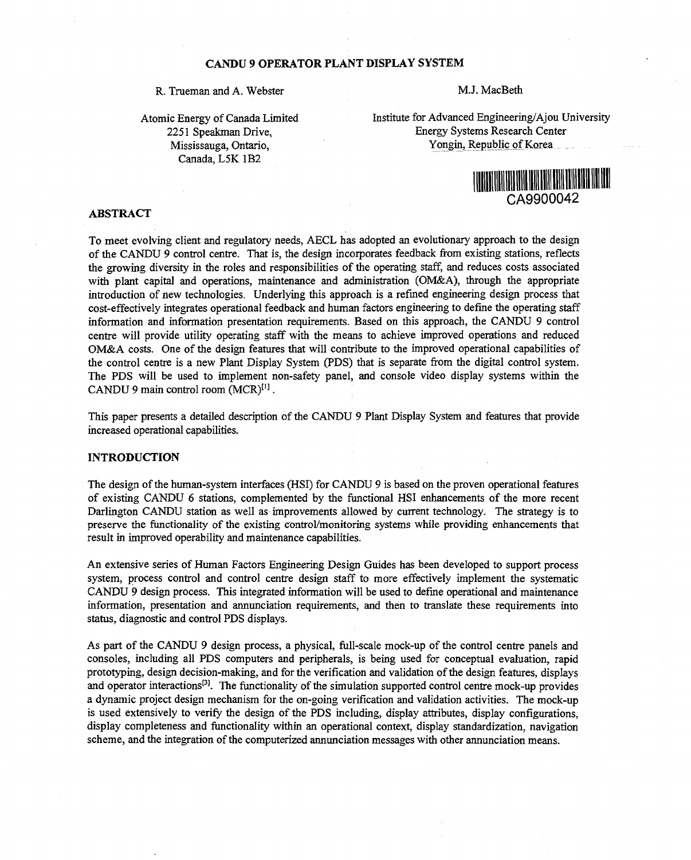### **CANDU 9 OPERATOR PLANT DISPLAY SYSTEM**

# R. Trueman and A. Webster M.J. MacBeth

Atomic Energy of Canada Limited 2251 Speakman Drive, Mississauga, Ontario, Canada, L5K 1B2

Institute for Advanced Engineering/Ajou University Energy Systems Research Center Yongin, Republic of Korea



## **ABSTRACT**

To meet evolving client and regulatory needs, AECL has adopted an evolutionary approach to the design of the CANDU 9 control centre. That is, the design incorporates feedback from existing stations, reflects the growing diversity in the roles and responsibilities of the operating staff, and reduces costs associated with plant capital and operations, maintenance and administration (OM&A), through the appropriate introduction of new technologies. Underlying this approach is a refined engineering design process that cost-effectively integrates operational feedback and human factors engineering to define the operating staff information and information presentation requirements. Based on this approach, the CANDU 9 control centre will provide utility operating staff with the means to achieve improved operations and reduced OM&A costs. One of the design features that will contribute to the improved operational capabilities of the control centre is a new Plant Display System (PDS) that is separate from the digital control system. The PDS will be used to implement non-safety panel, and console video display systems within the  $CANDU$  9 main control room  $(MCR)^{[1]}$ .

This paper presents a detailed description of the CANDU 9 Plant Display System and features that provide increased operational capabilities.

### **INTRODUCTION**

The design of the human-system interfaces (HSI) for CANDU 9 is based on the proven operational features of existing CANDU 6 stations, complemented by the functional HSI enhancements of the more recent Darlington CANDU station as well as improvements allowed by current technology. The strategy is to preserve the functionality of the existing control/monitoring systems while providing enhancements that result in improved operability and maintenance capabilities.

An extensive series of Human Factors Engineering Design Guides has been developed to support process system, process control and control centre design staff to more effectively implement the systematic CANDU 9 design process. This integrated information will be used to define operational and maintenance information, presentation and annunciation requirements, and then to translate these requirements into status, diagnostic and control PDS displays.

As part of the CANDU 9 design process, a physical, full-scale mock-up of the control centre panels and consoles, including all PDS computers and peripherals, is being used for conceptual evaluation, rapid prototyping, design decision-making, and for the verification and validation of the design features, displays and operator interactions<sup>[3]</sup>. The functionality of the simulation supported control centre mock-up provides a dynamic project design mechanism for the on-going verification and validation activities. The mock-up is used extensively to verify the design of the PDS including, display attributes, display configurations, display completeness and functionality within an operational context, display standardization, navigation scheme, and the integration of the computerized annunciation messages with other annunciation means.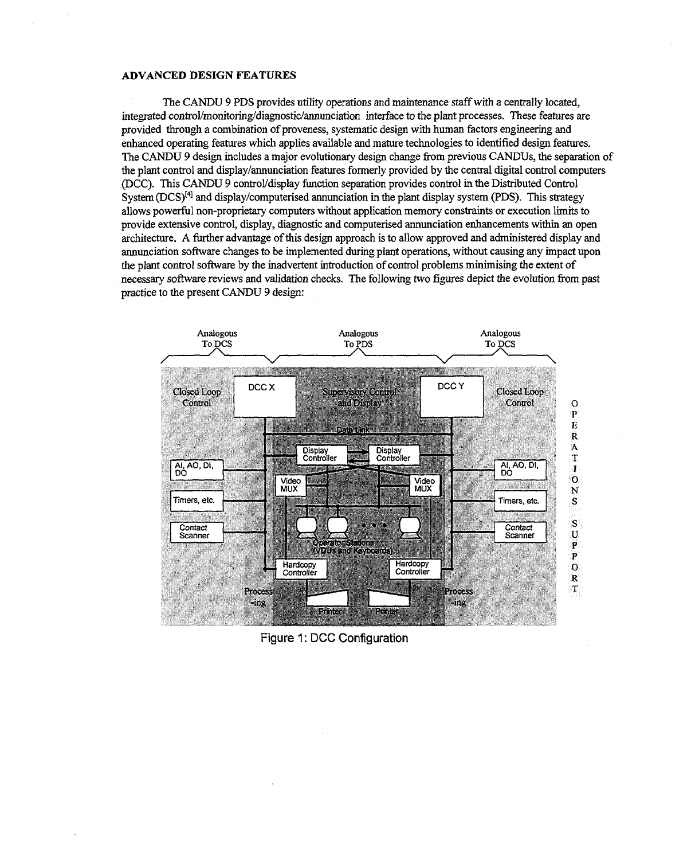### **ADVANCED DESIGN FEATURES**

The CANDU 9 PDS provides utility operations and maintenance staff with a centrally located, integrated control/monitoring/diagnostic/annunciation interface to the plant processes. These features are provided through a combination of proveness, systematic design with human factors engineering and enhanced operating features which applies available and mature technologies to identified design features. The CANDU 9 design includes a major evolutionary design change from previous CANDUs, the separation of the plant control and display/annunciation features formerly provided by the central digital control computers (DCC). This CANDU 9 control/display function separation provides control in the Distributed Control System  $(DCS)^{[4]}$  and display/computerised annunciation in the plant display system (PDS). This strategy allows powerful non-proprietary computers without application memory constraints or execution limits to provide extensive control, display, diagnostic and computerised annunciation enhancements within an open architecture. A further advantage of this design approach is to allow approved and administered display and annunciation software changes to be implemented during plant operations, without causing any impact upon the plant control software by the inadvertent introduction of control problems minimising the extent of necessary software reviews and validation checks. The following two figures depict the evolution from past practice to the present CANDU 9 design:



Figure 1: DCC Configuration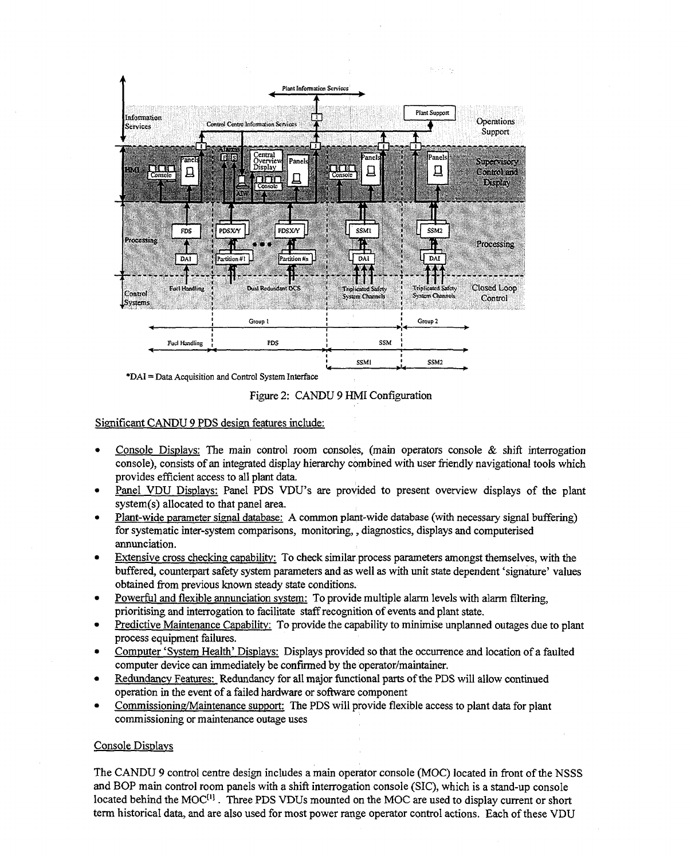

Figure 2: CANDU 9 HMI Configuration

### Significant CANDU 9 PDS design features include:

- Console Displays: The main control room consoles, (main operators console  $\&$  shift interrogation console), consists of an integrated display hierarchy combined with user friendly navigational tools which provides efficient access to all plant data.
- Panel VDU Displays: Panel PDS VDU's are provided to present overview displays of the plant system(s) allocated to that panel area.
- Plant-wide parameter signal database: A common plant-wide database (with necessary signal buffering) for systematic inter-system comparisons, monitoring,, diagnostics, displays and computerised annunciation.
- Extensive cross checking capability: To check similar process parameters amongst themselves, with the buffered, counterpart safety system parameters and as well as with unit state dependent 'signature' values obtained from previous known steady state conditions.
- Powerful and flexible annunciation system: To provide multiple alarm levels with alarm filtering, prioritising and interrogation to facilitate staff recognition of events and plant state.
- Predictive Maintenance Capability: To provide the capability to minimise unplanned outages due to plant process equipment failures.
- Computer 'System Health' Displays: Displays provided so that the occurrence and location of a faulted computer device can immediately be confirmed by the operator/maintainer.
- Redundancy Features: Redundancy for all major functional parts of the PDS will allow continued operation in the event of a failed hardware or software component
- Commissioning/Maintenance support: The PDS will provide flexible access to plant data for plant commissioning or maintenance outage uses

### Console Displays

The CANDU 9 control centre design includes a main operator console (MOC) located in front of the NSSS and BOP main control room panels with a shift interrogation console (SIC), which is a stand-up console located behind the MOC<sup>(1)</sup>. Three PDS VDUs mounted on the MOC are used to display current or short term historical data, and are also used for most power range operator control actions. Each of these VDU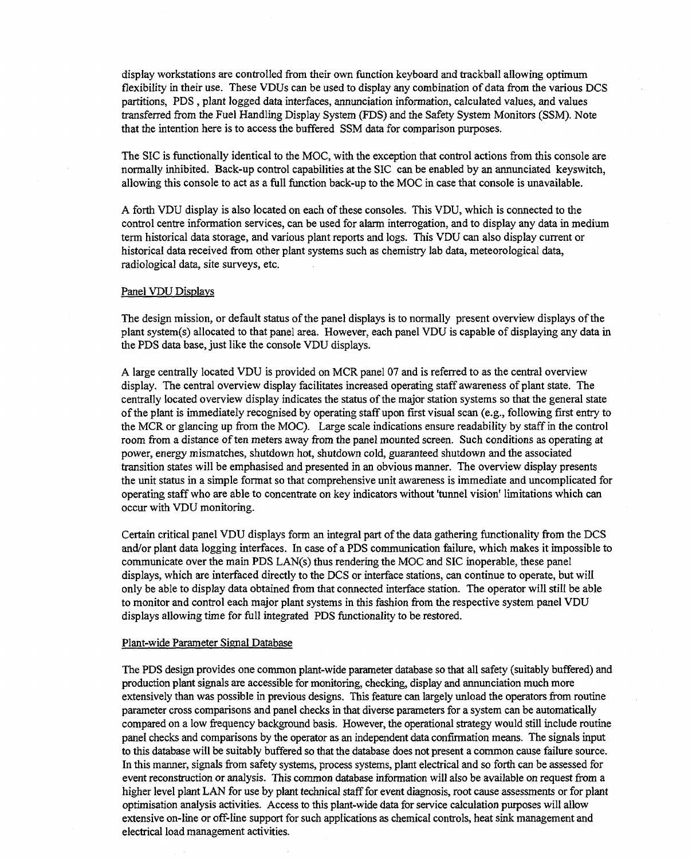display workstations are controlled from their own function keyboard and trackball allowing optimum flexibility in their use. These VDUs can be used to display any combination of data from the various DCS partitions, PDS , plant logged data interfaces, annunciation information, calculated values, and values transferred from the Fuel Handling Display System (FDS) and the Safety System Monitors (SSM). Note that the intention here is to access the buffered SSM data for comparison purposes.

The SIC is functionally identical to the MOC, with the exception that control actions from this console are normally inhibited. Back-up control capabilities at the SIC can be enabled by an annunciated keyswitch, allowing this console to act as a full function back-up to the MOC in case that console is unavailable.

A forth VDU display is also located on each of these consoles. This VDU, which is connected to the control centre information services, can be used for alarm interrogation, and to display any data in medium term historical data storage, and various plant reports and logs. This VDU can also display current or historical data received from other plant systems such as chemistry lab data, meteorological data, radiological data, site surveys, etc.

### Panel VDU Displays

The design mission, or default status of the panel displays is to normally present overview displays of the plant system(s) allocated to that panel area. However, each panel VDU is capable of displaying any data in the PDS data base, just like the console VDU displays.

A large centrally located VDU is provided on MCR panel 07 and is referred to as the central overview display. The central overview display facilitates increased operating staff awareness of plant state. The centrally located overview display indicates the status of the major station systems so that the general state of the plant is immediately recognised by operating staff upon first visual scan (e.g., following first entry to the MCR or glancing up from the MOC). Large scale indications ensure readability by staff in the control room from a distance of ten meters away from the panel mounted screen. Such conditions as operating at power, energy mismatches, shutdown hot, shutdown cold, guaranteed shutdown and the associated transition states will be emphasised and presented in an obvious manner. The overview display presents the unit status in a simple format so that comprehensive unit awareness is immediate and uncomplicated for operating staff who are able to concentrate on key indicators without 'tunnel vision' limitations which can occur with VDU monitoring.

Certain critical panel VDU displays form an integral part of the data gathering functionality from the DCS and/or plant data logging interfaces. In case of a PDS communication failure, which makes it impossible to communicate over the main PDS LAN(s) thus rendering the MOC and SIC inoperable, these panel displays, which are interfaced directly to the DCS or interface stations, can continue to operate, but will only be able to display data obtained from that connected interface station. The operator will still be able to monitor and control each major plant systems in this fashion from the respective system panel VDU displays allowing time for full integrated PDS functionality to be restored.

#### Plant-wide Parameter Signal Database

The PDS design provides one common plant-wide parameter database so that all safety (suitably buffered) and production plant signals are accessible for monitoring, checking, display and annunciation much more extensively than was possible in previous designs. This feature can largely unload the operators from routine parameter cross comparisons and panel checks in that diverse parameters for a system can be automatically compared on a low frequency background basis. However, the operational strategy would still include routine panel checks and comparisons by the operator as an independent data confirmation means. The signals input to this database will be suitably buffered so that the database does not present a common cause failure source. In this manner, signals from safety systems, process systems, plant electrical and so forth can be assessed for event reconstruction or analysis. This common database information will also be available on request from a higher level plant LAN for use by plant technical staff for event diagnosis, root cause assessments or for plant optimisation analysis activities. Access to this plant-wide data for service calculation purposes will allow extensive on-line or off-line support for such applications as chemical controls, heat sink management and electrical load management activities.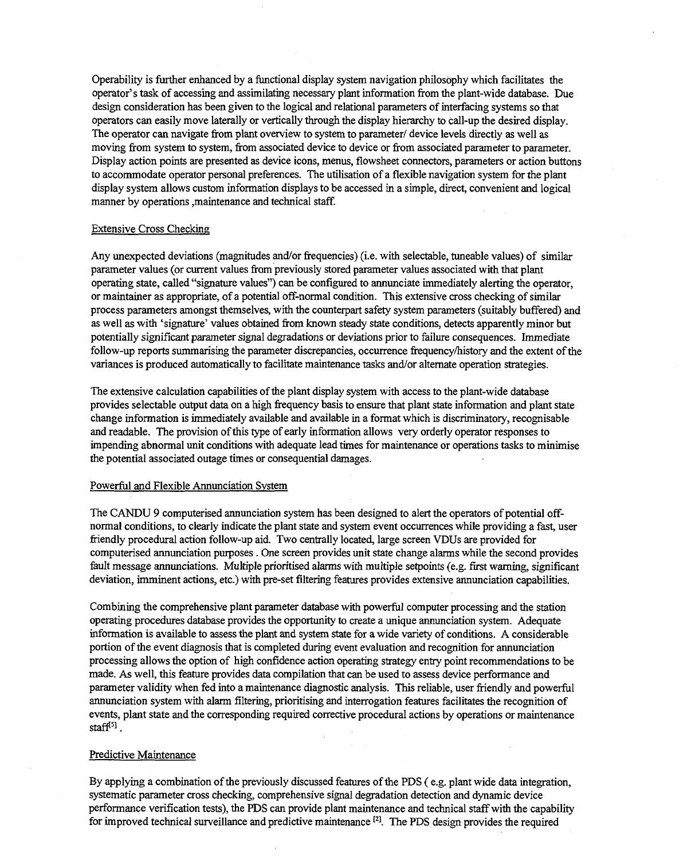Operability is further enhanced by a functional display system navigation philosophy which facilitates the operator's task of accessing and assimilating necessary plant information from the plant-wide database. Due design consideration has been given to the logical and relational parameters of interfacing systems so that operators can easily move laterally or vertically through the display hierarchy to call-up the desired display. The operator can navigate from plant overview to system to parameter/ device levels directly as well as moving from system to system, from associated device to device or from associated parameter to parameter. Display action points are presented as device icons, menus, flowsheet connectors, parameters or action buttons to accommodate operator personal preferences. The utilisation of a flexible navigation system for the plant display system allows custom information displays to be accessed in a simple, direct, convenient and logical manner by operations ,maintenance and technical staff.

#### Extensive Cross Checking

Any unexpected deviations (magnitudes and/or frequencies) (i.e. with selectable, tuneable values) of similar parameter values (or current values from previously stored parameter values associated with that plant operating state, called "signature values") can be configured to annunciate immediately alerting the operator, or maintainer as appropriate, of a potential off-normal condition. This extensive cross checking of similar process parameters amongst themselves, with the counterpart safety system parameters (suitably buffered) and as well as with 'signature' values obtained from known steady state conditions, detects apparently minor but potentially significant parameter signal degradations or deviations prior to failure consequences. Immediate follow-up reports summarising the parameter discrepancies, occurrence frequency/history and the extent of the variances is produced automatically to facilitate maintenance tasks and/or alternate operation strategies.

The extensive calculation capabilities of the plant display system with access to the plant-wide database provides selectable output data on a high frequency basis to ensure that plant state information and plant state change information is immediately available and available in a format which is discriminatory, recognisable and readable. The provision of this type of early information allows very orderly operator responses to impending abnormal unit conditions with adequate lead times for maintenance or operations tasks to minimise the potential associated outage times or consequential damages.

#### Powerful and Flexible Annunciation System

The CANDU 9 computerised annunciation system has been designed to alert the operators of potential offnormal conditions, to clearly indicate the plant state and system event occurrences while providing a fast, user friendly procedural action follow-up aid. Two centrally located, large screen VDUs are provided for computerised annunciation purposes . One screen provides unit state change alarms while the second provides fault message annunciations. Multiple prioritised alarms with multiple setpoints (e.g. first warning, significant deviation, imminent actions, etc.) with pre-set filtering features provides extensive annunciation capabilities.

Combining the comprehensive plant parameter database with powerful computer processing and the station operating procedures database provides the opportunity to create a unique annunciation system. Adequate information is available to assess the plant and system state for a wide variety of conditions. A considerable portion of the event diagnosis that is completed during event evaluation and recognition for annunciation processing allows the option of high confidence action operating strategy entry point recommendations to be made. As well, this feature provides data compilation that can be used to assess device performance and parameter validity when fed into a maintenance diagnostic analysis. This reliable, user friendly and powerful annunciation system with alarm filtering, prioritising and interrogation features facilitates the recognition of events, plant state and the corresponding required corrective procedural actions by operations or maintenance staff<sup>[5]</sup>.

#### Predictive Maintenance

By applying a combination of the previously discussed features of the PDS ( e.g. plant wide data integration, systematic parameter cross checking, comprehensive signal degradation detection and dynamic device performance verification tests), the PDS can provide plant maintenance and technical staff with the capability for improved technical surveillance and predictive maintenance*[2] .* The PDS design provides the required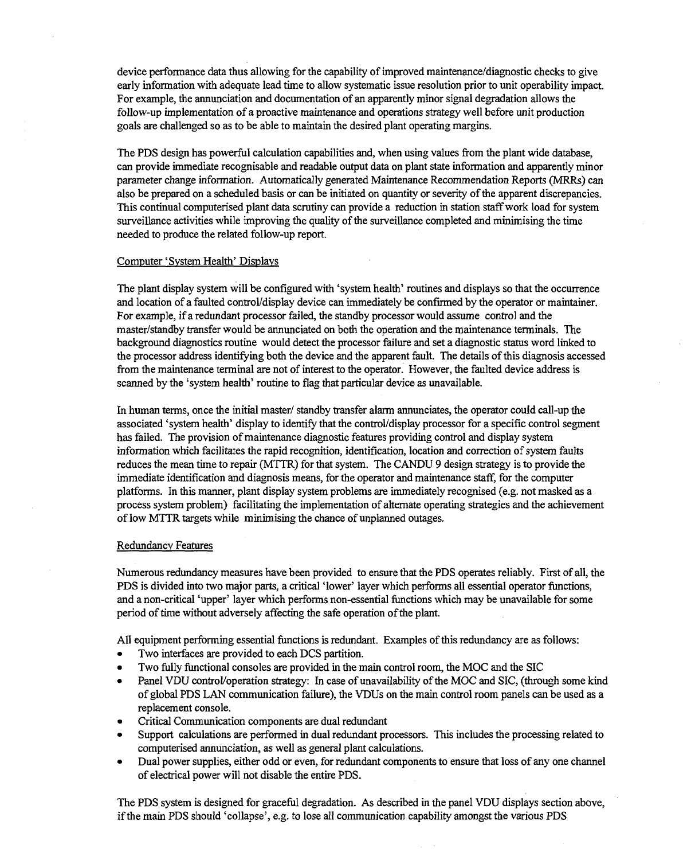device performance data thus allowing for the capability of improved maintenance/diagnostic checks to give early information with adequate lead time to allow systematic issue resolution prior to unit operability impact. For example, the annunciation and documentation of an apparently minor signal degradation allows the follow-up implementation of a proactive maintenance and operations strategy well before unit production goals are challenged so as to be able to maintain the desired plant operating margins.

The PDS design has powerful calculation capabilities and, when using values from the plant wide database, can provide immediate recognisable and readable output data on plant state information and apparently minor parameter change information. Automatically generated Maintenance Recommendation Reports (MRRs) can also be prepared on a scheduled basis or can be initiated on quantity or severity of the apparent discrepancies. This continual computerised plant data scrutiny can provide a reduction in station staff work load for system surveillance activities while improving the quality of the surveillance completed and minimising the time needed to produce the related follow-up report.

#### Computer 'System Health' Displays

The plant display system will be configured with 'system health' routines and displays so that the occurrence and location of a faulted control/display device can immediately be confirmed by the operator or maintainer. For example, if a redundant processor failed, the standby processor would assume control and the master/standby transfer would be annunciated on both the operation and the maintenance terminals. The background diagnostics routine would detect the processor failure and set a diagnostic status word linked to the processor address identifying both the device and the apparent fault. The details of this diagnosis accessed from the maintenance terminal are not of interest to the operator. However, the faulted device address is scanned by the 'system health' routine to flag that particular device as unavailable.

In human terms, once the initial master/ standby transfer alarm annunciates, the operator could call-up the associated 'system health' display to identify that the control/display processor for a specific control segment has failed. The provision of maintenance diagnostic features providing control and display system information which facilitates the rapid recognition, identification, location and correction of system faults reduces the mean time to repair (MTTR) for that system. The CANDU 9 design strategy is to provide the immediate identification and diagnosis means, for the operator and maintenance staff, for the computer platforms. In this manner, plant display system problems are immediately recognised (e.g. not masked as a process system problem) facilitating the implementation of alternate operating strategies and the achievement of low MTTR targets while minimising the chance of unplanned outages.

#### Redundancy Features

Numerous redundancy measures have been provided to ensure that the PDS operates reliably. First of all, the PDS is divided into two major parts, a critical 'lower' layer which performs all essential operator functions, and a non-critical 'upper' layer which performs non-essential functions which may be unavailable for some period of time without adversely affecting the safe operation of the plant.

All equipment performing essential functions is redundant. Examples of this redundancy are as follows:

- Two interfaces are provided to each DCS partition.
- Two fully functional consoles are provided in the main control room, the MOC and the SIC
- Panel VDU control/operation strategy: In case of unavailability of the MOC and SIC, (through some kind of global PDS LAN communication failure), the VDUs on the main control room panels can be used as a replacement console.
- Critical Communication components are dual redundant
- Support calculations are performed in dual redundant processors. This includes the processing related to computerised annunciation, as well as general plant calculations.
- Dual power supplies, either odd or even, for redundant components to ensure that loss of any one channel of electrical power will not disable the entire PDS.

The PDS system is designed for graceful degradation. As described in the panel VDU displays section above, if the main PDS should 'collapse', e.g. to lose all communication capability amongst the various PDS